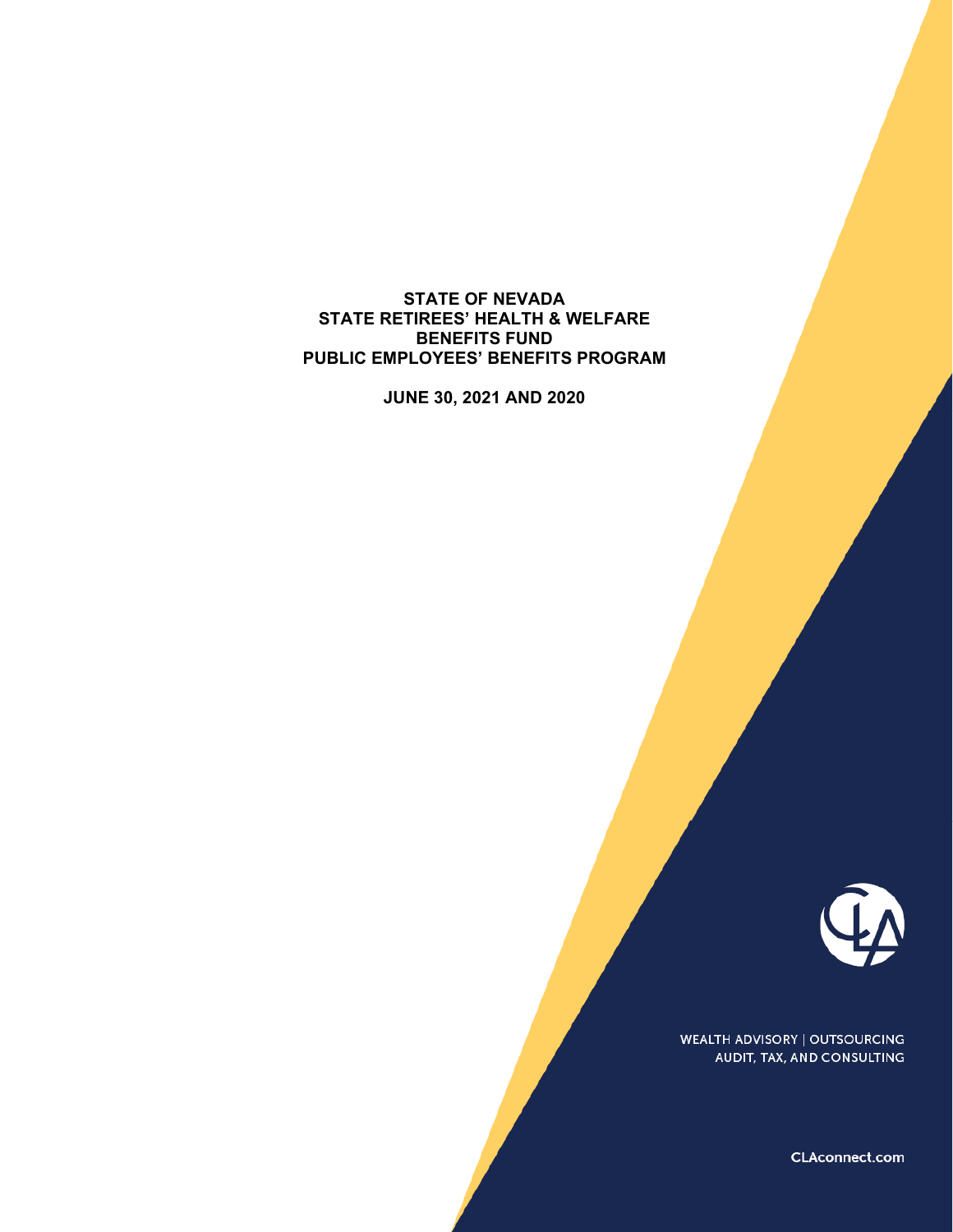**STATE OF NEVADA STATE RETIREES' HEALTH & WELFARE BENEFITS FUND PUBLIC EMPLOYEES' BENEFITS PROGRAM** 

**JUNE 30, 2021 AND 2020** 



**WEALTH ADVISORY | OUTSOURCING** AUDIT, TAX, AND CONSULTING

CLAconnect.com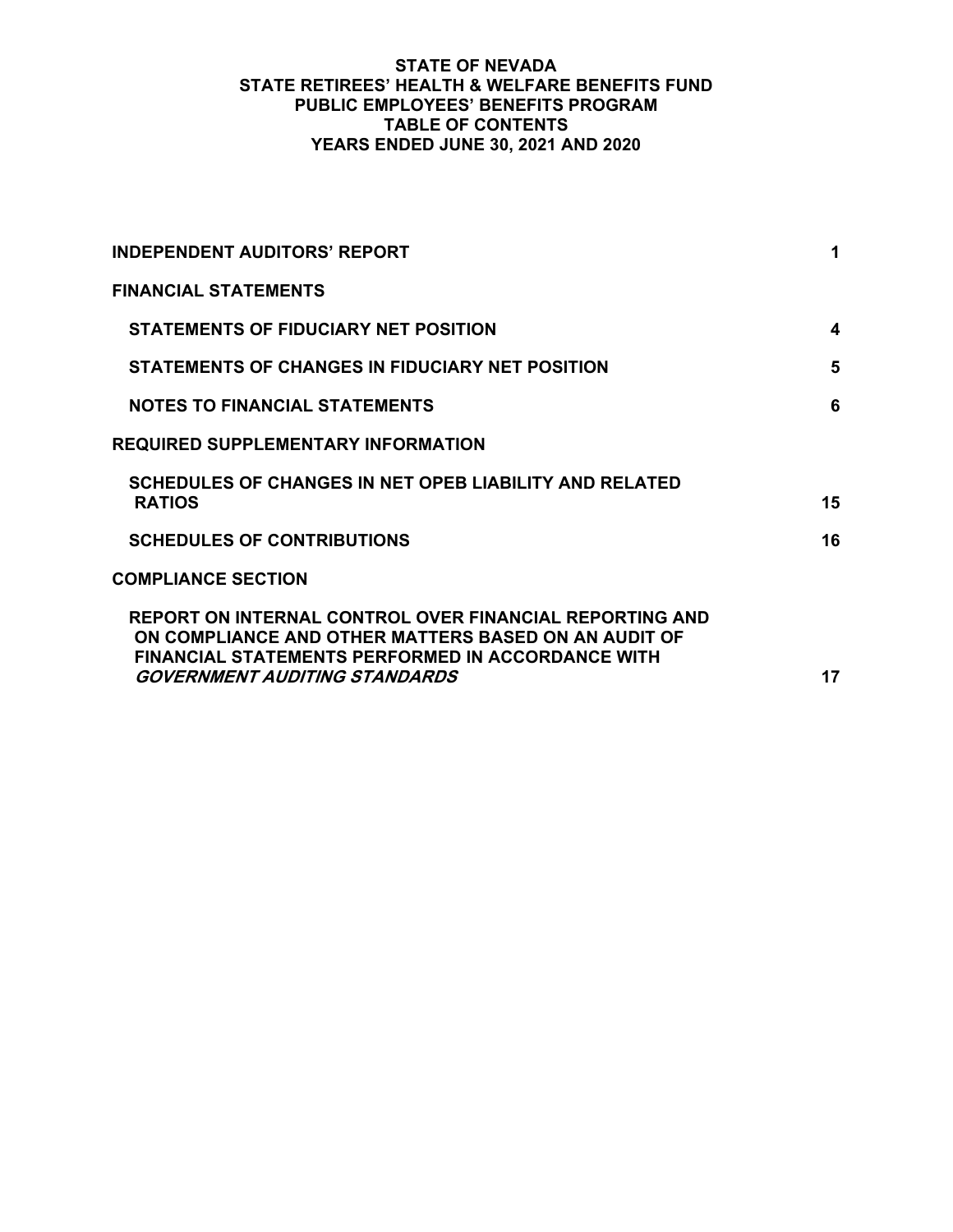## **STATE OF NEVADA STATE RETIREES' HEALTH & WELFARE BENEFITS FUND PUBLIC EMPLOYEES' BENEFITS PROGRAM TABLE OF CONTENTS YEARS ENDED JUNE 30, 2021 AND 2020**

| <b>INDEPENDENT AUDITORS' REPORT</b>                                                                                                                                                                                 | 1  |
|---------------------------------------------------------------------------------------------------------------------------------------------------------------------------------------------------------------------|----|
| <b>FINANCIAL STATEMENTS</b>                                                                                                                                                                                         |    |
| <b>STATEMENTS OF FIDUCIARY NET POSITION</b>                                                                                                                                                                         | 4  |
| <b>STATEMENTS OF CHANGES IN FIDUCIARY NET POSITION</b>                                                                                                                                                              | 5  |
| <b>NOTES TO FINANCIAL STATEMENTS</b>                                                                                                                                                                                | 6  |
| <b>REQUIRED SUPPLEMENTARY INFORMATION</b>                                                                                                                                                                           |    |
| SCHEDULES OF CHANGES IN NET OPEB LIABILITY AND RELATED<br><b>RATIOS</b>                                                                                                                                             | 15 |
| <b>SCHEDULES OF CONTRIBUTIONS</b>                                                                                                                                                                                   | 16 |
| <b>COMPLIANCE SECTION</b>                                                                                                                                                                                           |    |
| REPORT ON INTERNAL CONTROL OVER FINANCIAL REPORTING AND<br>ON COMPLIANCE AND OTHER MATTERS BASED ON AN AUDIT OF<br><b>FINANCIAL STATEMENTS PERFORMED IN ACCORDANCE WITH</b><br><i>GOVERNMENT AUDITING STANDARDS</i> | 17 |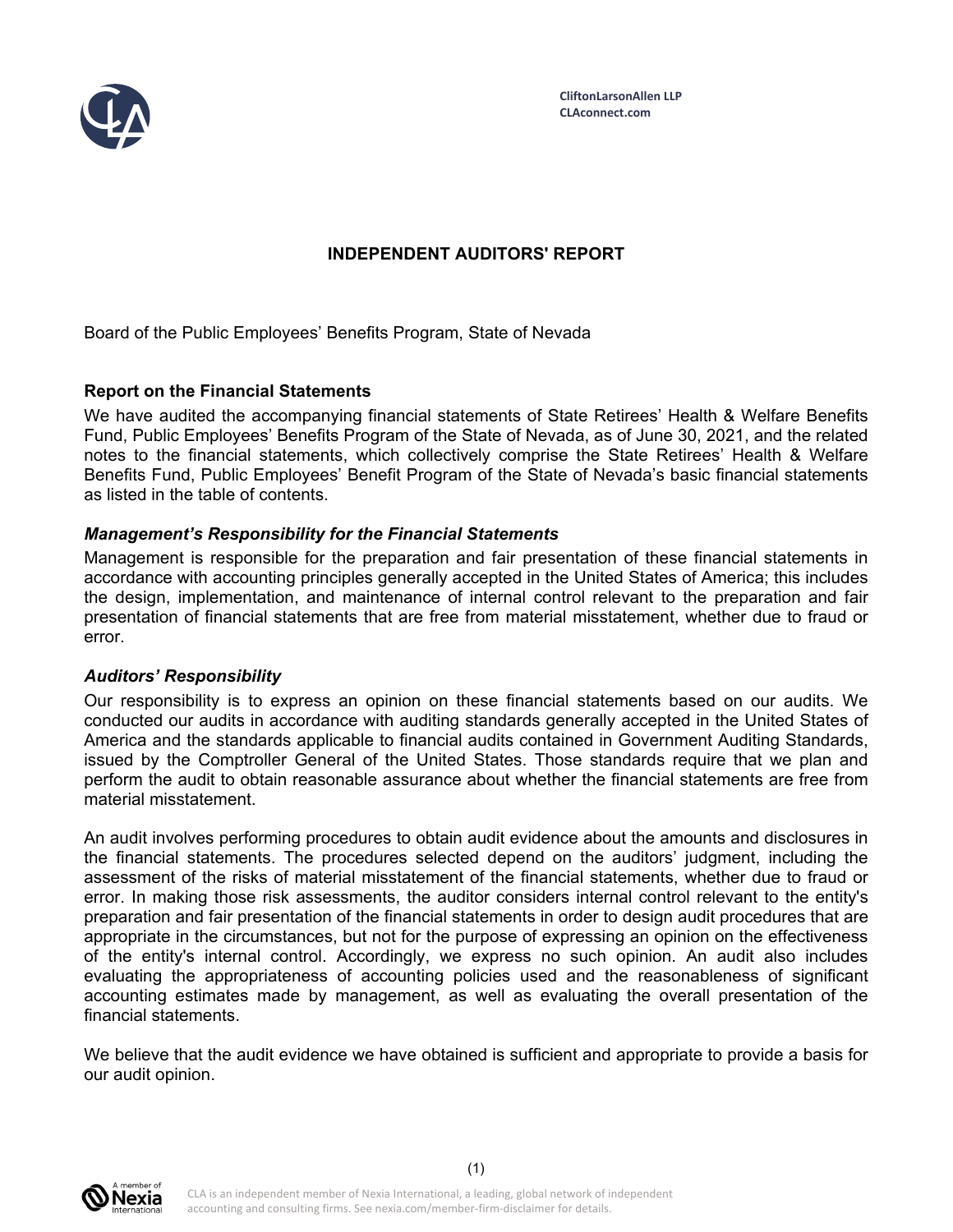

# **INDEPENDENT AUDITORS' REPORT**

Board of the Public Employees' Benefits Program, State of Nevada

## **Report on the Financial Statements**

We have audited the accompanying financial statements of State Retirees' Health & Welfare Benefits Fund, Public Employees' Benefits Program of the State of Nevada, as of June 30, 2021, and the related notes to the financial statements, which collectively comprise the State Retirees' Health & Welfare Benefits Fund, Public Employees' Benefit Program of the State of Nevada's basic financial statements as listed in the table of contents.

### *Management's Responsibility for the Financial Statements*

Management is responsible for the preparation and fair presentation of these financial statements in accordance with accounting principles generally accepted in the United States of America; this includes the design, implementation, and maintenance of internal control relevant to the preparation and fair presentation of financial statements that are free from material misstatement, whether due to fraud or error.

### *Auditors' Responsibility*

Our responsibility is to express an opinion on these financial statements based on our audits. We conducted our audits in accordance with auditing standards generally accepted in the United States of America and the standards applicable to financial audits contained in Government Auditing Standards, issued by the Comptroller General of the United States. Those standards require that we plan and perform the audit to obtain reasonable assurance about whether the financial statements are free from material misstatement.

An audit involves performing procedures to obtain audit evidence about the amounts and disclosures in the financial statements. The procedures selected depend on the auditors' judgment, including the assessment of the risks of material misstatement of the financial statements, whether due to fraud or error. In making those risk assessments, the auditor considers internal control relevant to the entity's preparation and fair presentation of the financial statements in order to design audit procedures that are appropriate in the circumstances, but not for the purpose of expressing an opinion on the effectiveness of the entity's internal control. Accordingly, we express no such opinion. An audit also includes evaluating the appropriateness of accounting policies used and the reasonableness of significant accounting estimates made by management, as well as evaluating the overall presentation of the financial statements.

We believe that the audit evidence we have obtained is sufficient and appropriate to provide a basis for our audit opinion.

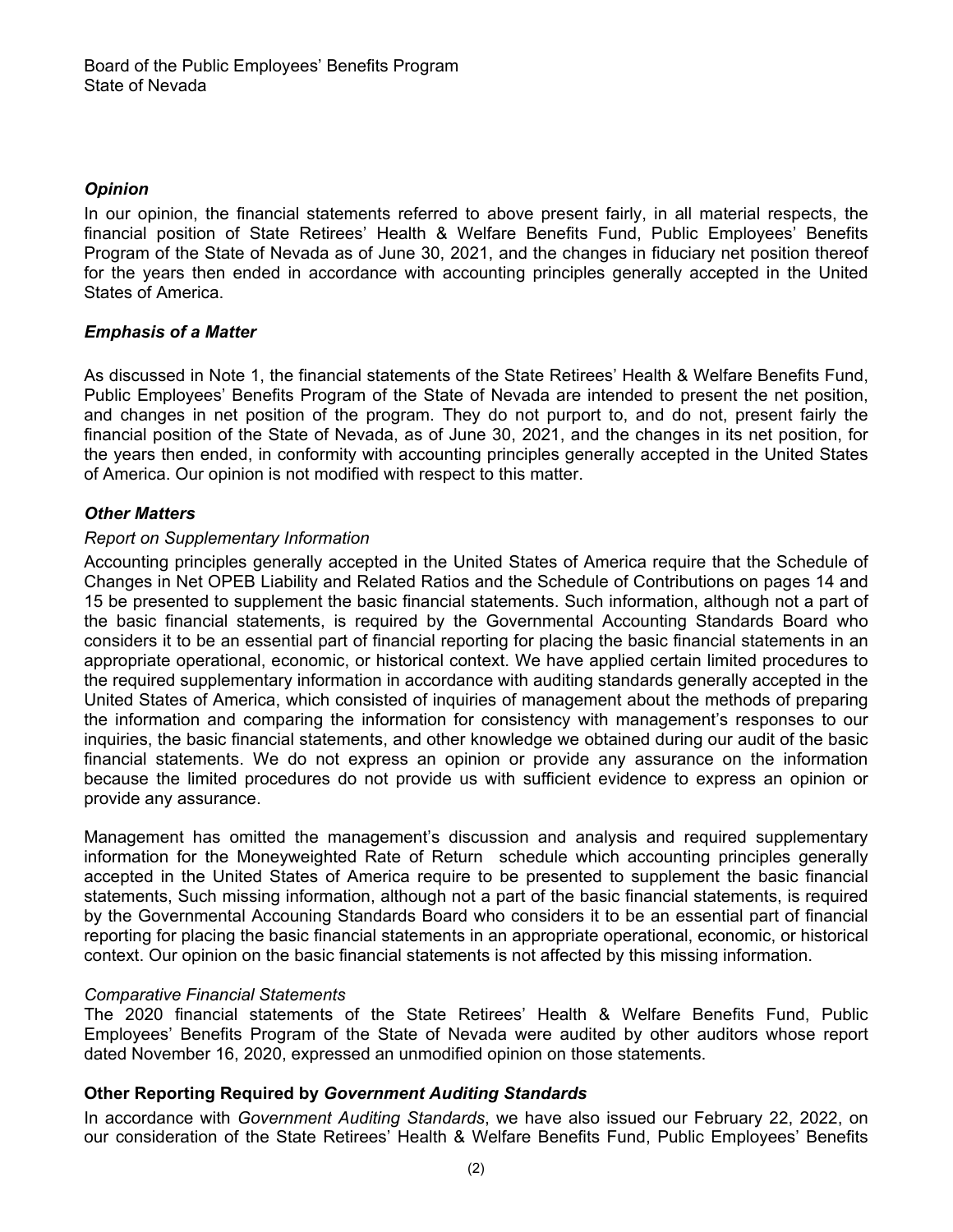# *Opinion*

In our opinion, the financial statements referred to above present fairly, in all material respects, the financial position of State Retirees' Health & Welfare Benefits Fund, Public Employees' Benefits Program of the State of Nevada as of June 30, 2021, and the changes in fiduciary net position thereof for the years then ended in accordance with accounting principles generally accepted in the United States of America.

# *Emphasis of a Matter*

As discussed in Note 1, the financial statements of the State Retirees' Health & Welfare Benefits Fund, Public Employees' Benefits Program of the State of Nevada are intended to present the net position, and changes in net position of the program. They do not purport to, and do not, present fairly the financial position of the State of Nevada, as of June 30, 2021, and the changes in its net position, for the years then ended, in conformity with accounting principles generally accepted in the United States of America. Our opinion is not modified with respect to this matter.

# *Other Matters*

## *Report on Supplementary Information*

Accounting principles generally accepted in the United States of America require that the Schedule of Changes in Net OPEB Liability and Related Ratios and the Schedule of Contributions on pages 14 and 15 be presented to supplement the basic financial statements. Such information, although not a part of the basic financial statements, is required by the Governmental Accounting Standards Board who considers it to be an essential part of financial reporting for placing the basic financial statements in an appropriate operational, economic, or historical context. We have applied certain limited procedures to the required supplementary information in accordance with auditing standards generally accepted in the United States of America, which consisted of inquiries of management about the methods of preparing the information and comparing the information for consistency with management's responses to our inquiries, the basic financial statements, and other knowledge we obtained during our audit of the basic financial statements. We do not express an opinion or provide any assurance on the information because the limited procedures do not provide us with sufficient evidence to express an opinion or provide any assurance.

Management has omitted the management's discussion and analysis and required supplementary information for the Moneyweighted Rate of Return schedule which accounting principles generally accepted in the United States of America require to be presented to supplement the basic financial statements, Such missing information, although not a part of the basic financial statements, is required by the Governmental Accouning Standards Board who considers it to be an essential part of financial reporting for placing the basic financial statements in an appropriate operational, economic, or historical context. Our opinion on the basic financial statements is not affected by this missing information.

## *Comparative Financial Statements*

The 2020 financial statements of the State Retirees' Health & Welfare Benefits Fund, Public Employees' Benefits Program of the State of Nevada were audited by other auditors whose report dated November 16, 2020, expressed an unmodified opinion on those statements.

## **Other Reporting Required by** *Government Auditing Standards*

In accordance with *Government Auditing Standards*, we have also issued our February 22, 2022, on our consideration of the State Retirees' Health & Welfare Benefits Fund, Public Employees' Benefits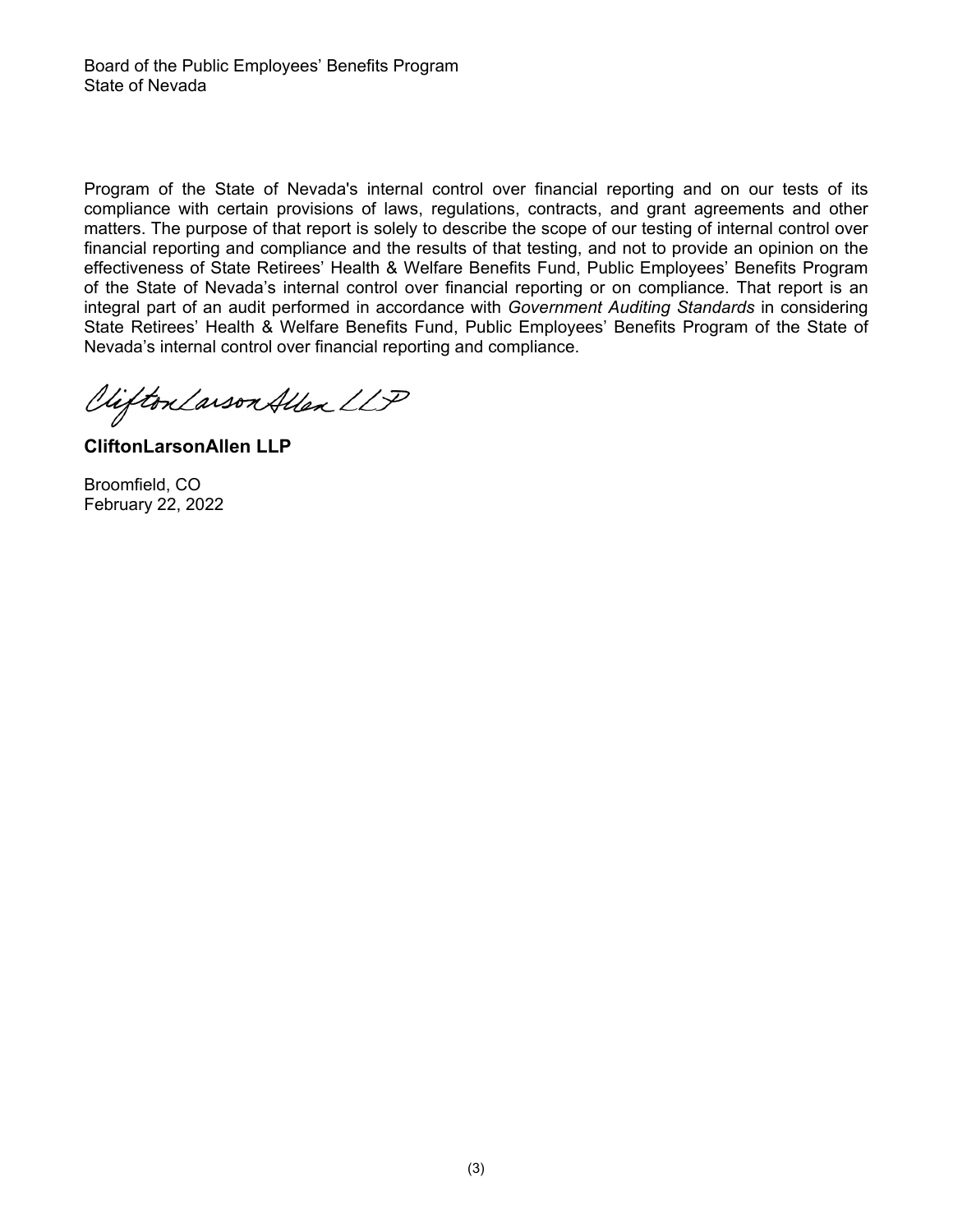Program of the State of Nevada's internal control over financial reporting and on our tests of its compliance with certain provisions of laws, regulations, contracts, and grant agreements and other matters. The purpose of that report is solely to describe the scope of our testing of internal control over financial reporting and compliance and the results of that testing, and not to provide an opinion on the effectiveness of State Retirees' Health & Welfare Benefits Fund, Public Employees' Benefits Program of the State of Nevada's internal control over financial reporting or on compliance. That report is an integral part of an audit performed in accordance with *Government Auditing Standards* in considering State Retirees' Health & Welfare Benefits Fund, Public Employees' Benefits Program of the State of Nevada's internal control over financial reporting and compliance.

Clifton Larson Allen LLP

**CliftonLarsonAllen LLP** 

Broomfield, CO February 22, 2022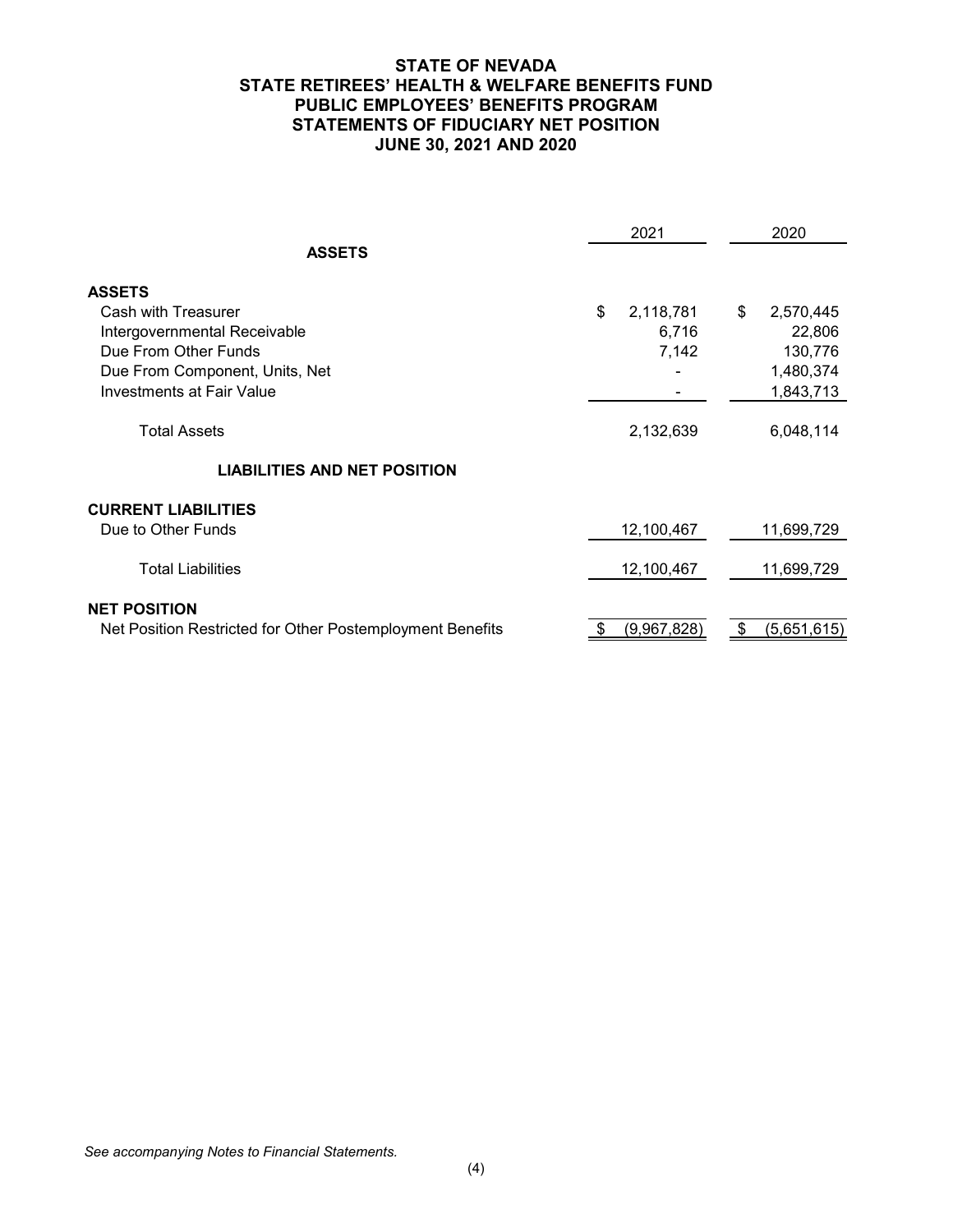### **STATE OF NEVADA STATE RETIREES' HEALTH & WELFARE BENEFITS FUND PUBLIC EMPLOYEES' BENEFITS PROGRAM STATEMENTS OF FIDUCIARY NET POSITION JUNE 30, 2021 AND 2020**

|                                                           |      | 2021        | 2020              |
|-----------------------------------------------------------|------|-------------|-------------------|
| <b>ASSETS</b>                                             |      |             |                   |
| <b>ASSETS</b>                                             |      |             |                   |
| Cash with Treasurer                                       | \$   | 2,118,781   | \$<br>2,570,445   |
| Intergovernmental Receivable                              |      | 6,716       | 22,806            |
| Due From Other Funds                                      |      | 7,142       | 130,776           |
| Due From Component, Units, Net                            |      |             | 1,480,374         |
| Investments at Fair Value                                 |      |             | 1,843,713         |
| <b>Total Assets</b>                                       |      | 2,132,639   | 6,048,114         |
| <b>LIABILITIES AND NET POSITION</b>                       |      |             |                   |
| <b>CURRENT LIABILITIES</b>                                |      |             |                   |
| Due to Other Funds                                        |      | 12,100,467  | 11,699,729        |
| <b>Total Liabilities</b>                                  |      | 12,100,467  | 11,699,729        |
| <b>NET POSITION</b>                                       |      |             |                   |
| Net Position Restricted for Other Postemployment Benefits | - \$ | (9,967,828) | \$<br>(5,651,615) |
|                                                           |      |             |                   |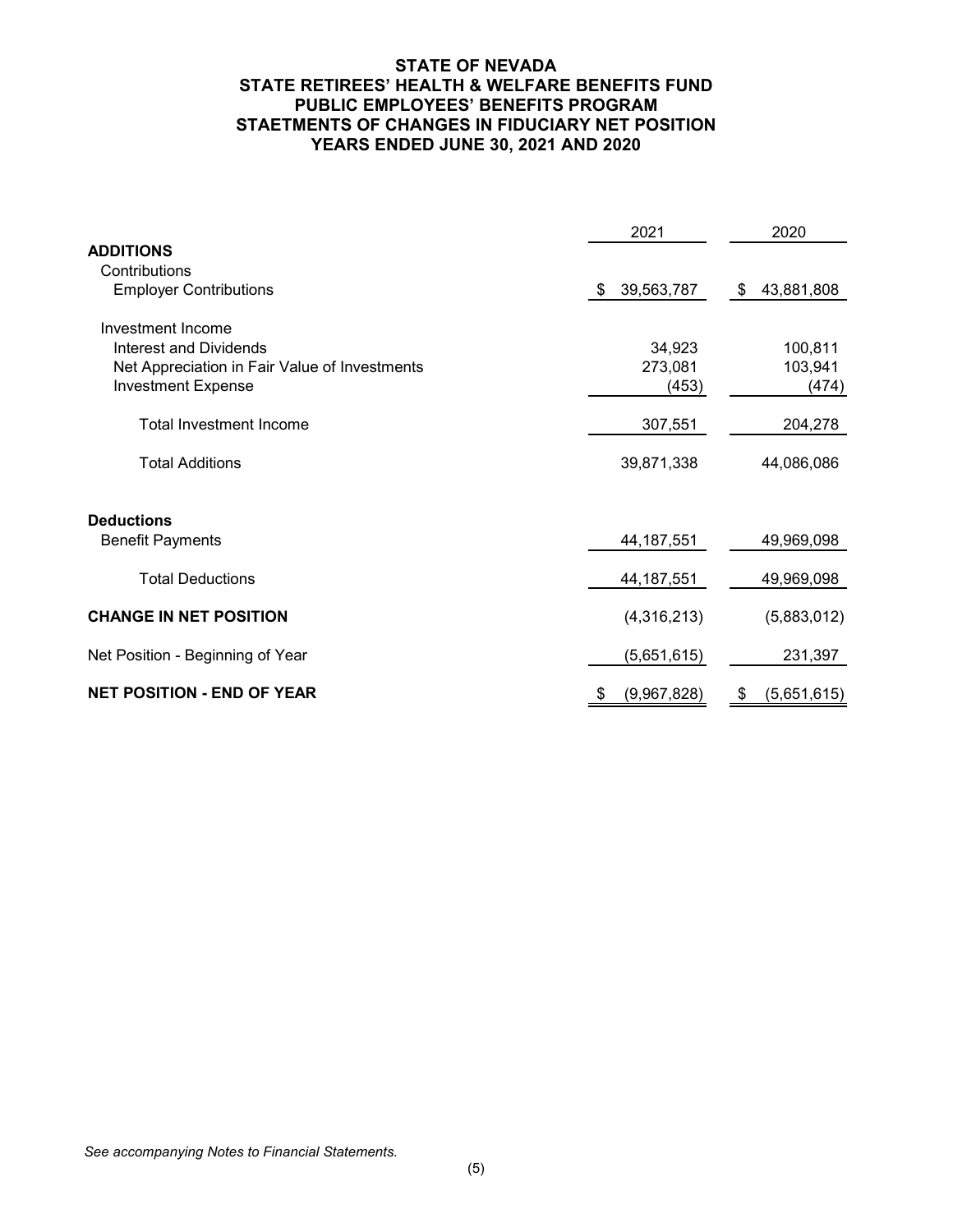### **STATE OF NEVADA STATE RETIREES' HEALTH & WELFARE BENEFITS FUND PUBLIC EMPLOYEES' BENEFITS PROGRAM STAETMENTS OF CHANGES IN FIDUCIARY NET POSITION YEARS ENDED JUNE 30, 2021 AND 2020**

|                                               | 2021             | 2020              |
|-----------------------------------------------|------------------|-------------------|
| <b>ADDITIONS</b>                              |                  |                   |
| Contributions                                 |                  |                   |
| <b>Employer Contributions</b>                 | 39,563,787<br>\$ | 43,881,808<br>\$  |
| Investment Income                             |                  |                   |
| Interest and Dividends                        | 34,923           | 100,811           |
| Net Appreciation in Fair Value of Investments | 273,081          | 103,941           |
| <b>Investment Expense</b>                     | (453)            | (474)             |
|                                               |                  |                   |
| <b>Total Investment Income</b>                | 307,551          | 204,278           |
| <b>Total Additions</b>                        | 39,871,338       | 44,086,086        |
|                                               |                  |                   |
| <b>Deductions</b>                             |                  |                   |
| <b>Benefit Payments</b>                       | 44, 187, 551     | 49,969,098        |
|                                               |                  |                   |
| <b>Total Deductions</b>                       | 44, 187, 551     | 49,969,098        |
|                                               |                  |                   |
| <b>CHANGE IN NET POSITION</b>                 | (4,316,213)      | (5,883,012)       |
| Net Position - Beginning of Year              | (5,651,615)      | 231,397           |
|                                               |                  |                   |
| <b>NET POSITION - END OF YEAR</b>             | (9,967,828)<br>S | (5,651,615)<br>\$ |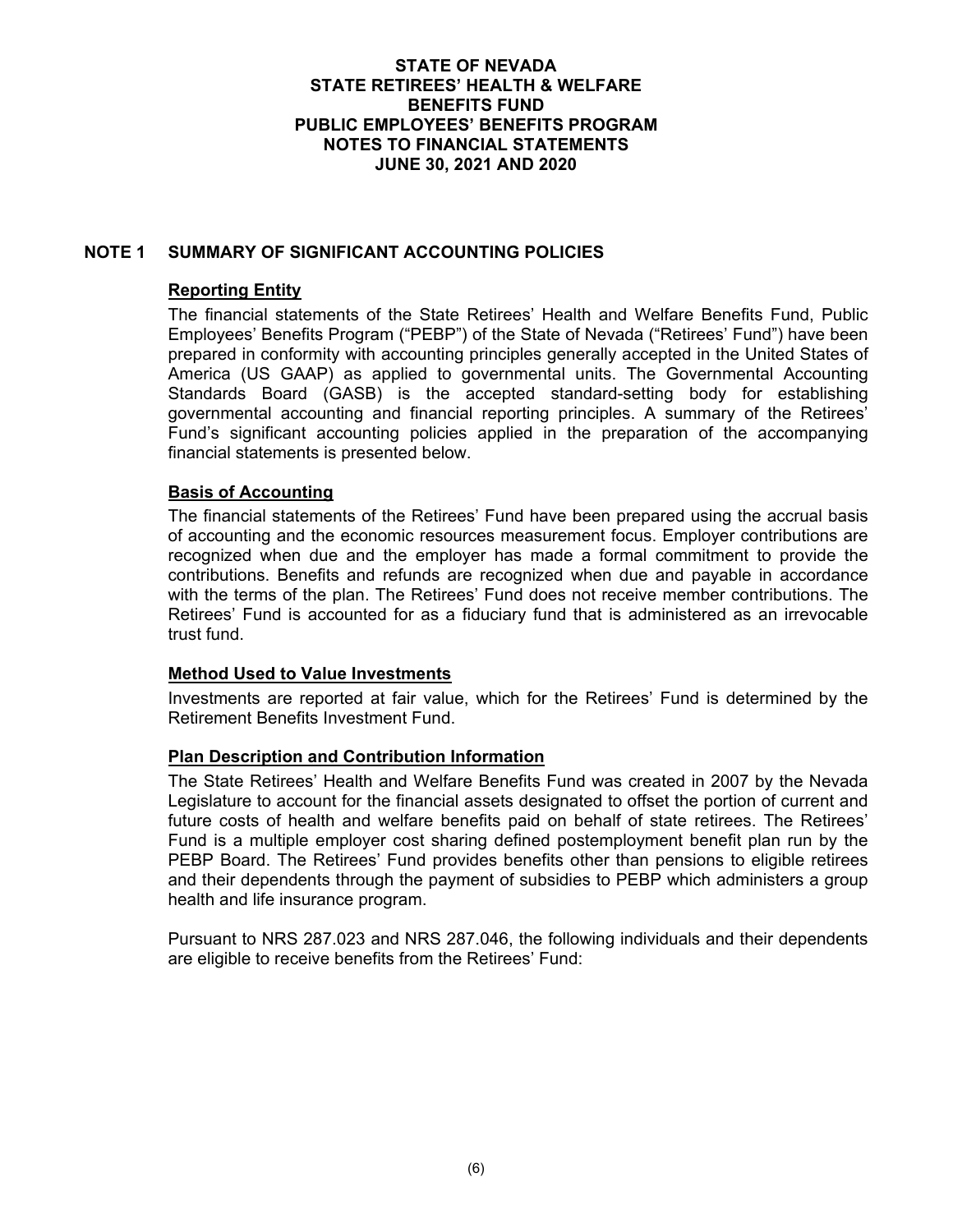# **NOTE 1 SUMMARY OF SIGNIFICANT ACCOUNTING POLICIES**

### **Reporting Entity**

The financial statements of the State Retirees' Health and Welfare Benefits Fund, Public Employees' Benefits Program ("PEBP") of the State of Nevada ("Retirees' Fund") have been prepared in conformity with accounting principles generally accepted in the United States of America (US GAAP) as applied to governmental units. The Governmental Accounting Standards Board (GASB) is the accepted standard-setting body for establishing governmental accounting and financial reporting principles. A summary of the Retirees' Fund's significant accounting policies applied in the preparation of the accompanying financial statements is presented below.

### **Basis of Accounting**

The financial statements of the Retirees' Fund have been prepared using the accrual basis of accounting and the economic resources measurement focus. Employer contributions are recognized when due and the employer has made a formal commitment to provide the contributions. Benefits and refunds are recognized when due and payable in accordance with the terms of the plan. The Retirees' Fund does not receive member contributions. The Retirees' Fund is accounted for as a fiduciary fund that is administered as an irrevocable trust fund.

## **Method Used to Value Investments**

Investments are reported at fair value, which for the Retirees' Fund is determined by the Retirement Benefits Investment Fund.

### **Plan Description and Contribution Information**

The State Retirees' Health and Welfare Benefits Fund was created in 2007 by the Nevada Legislature to account for the financial assets designated to offset the portion of current and future costs of health and welfare benefits paid on behalf of state retirees. The Retirees' Fund is a multiple employer cost sharing defined postemployment benefit plan run by the PEBP Board. The Retirees' Fund provides benefits other than pensions to eligible retirees and their dependents through the payment of subsidies to PEBP which administers a group health and life insurance program.

Pursuant to NRS 287.023 and NRS 287.046, the following individuals and their dependents are eligible to receive benefits from the Retirees' Fund: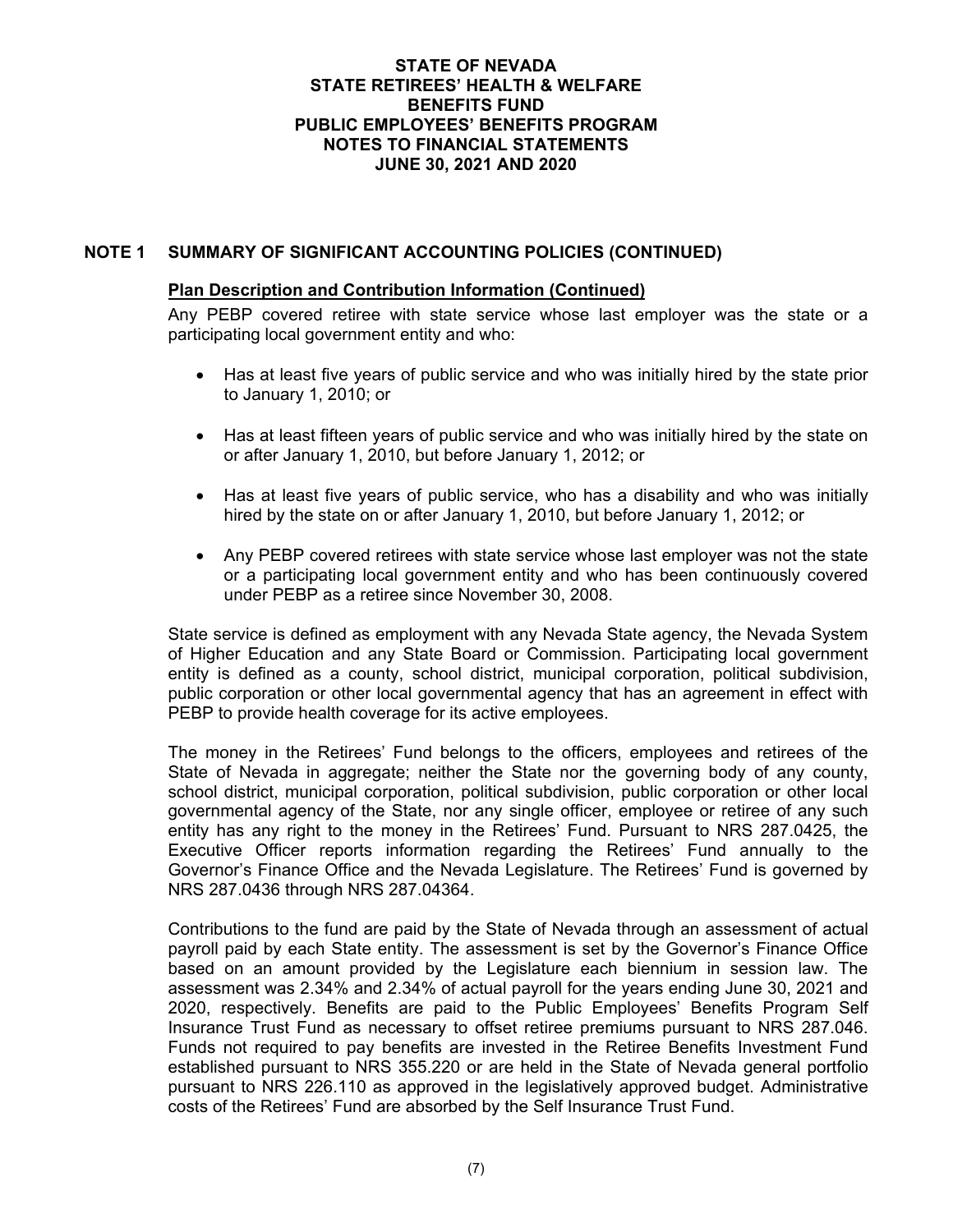# **NOTE 1 SUMMARY OF SIGNIFICANT ACCOUNTING POLICIES (CONTINUED)**

### **Plan Description and Contribution Information (Continued)**

Any PEBP covered retiree with state service whose last employer was the state or a participating local government entity and who:

- Has at least five years of public service and who was initially hired by the state prior to January 1, 2010; or
- Has at least fifteen years of public service and who was initially hired by the state on or after January 1, 2010, but before January 1, 2012; or
- Has at least five years of public service, who has a disability and who was initially hired by the state on or after January 1, 2010, but before January 1, 2012; or
- Any PEBP covered retirees with state service whose last employer was not the state or a participating local government entity and who has been continuously covered under PEBP as a retiree since November 30, 2008.

State service is defined as employment with any Nevada State agency, the Nevada System of Higher Education and any State Board or Commission. Participating local government entity is defined as a county, school district, municipal corporation, political subdivision, public corporation or other local governmental agency that has an agreement in effect with PEBP to provide health coverage for its active employees.

The money in the Retirees' Fund belongs to the officers, employees and retirees of the State of Nevada in aggregate; neither the State nor the governing body of any county, school district, municipal corporation, political subdivision, public corporation or other local governmental agency of the State, nor any single officer, employee or retiree of any such entity has any right to the money in the Retirees' Fund. Pursuant to NRS 287.0425, the Executive Officer reports information regarding the Retirees' Fund annually to the Governor's Finance Office and the Nevada Legislature. The Retirees' Fund is governed by NRS 287.0436 through NRS 287.04364.

Contributions to the fund are paid by the State of Nevada through an assessment of actual payroll paid by each State entity. The assessment is set by the Governor's Finance Office based on an amount provided by the Legislature each biennium in session law. The assessment was 2.34% and 2.34% of actual payroll for the years ending June 30, 2021 and 2020, respectively. Benefits are paid to the Public Employees' Benefits Program Self Insurance Trust Fund as necessary to offset retiree premiums pursuant to NRS 287.046. Funds not required to pay benefits are invested in the Retiree Benefits Investment Fund established pursuant to NRS 355.220 or are held in the State of Nevada general portfolio pursuant to NRS 226.110 as approved in the legislatively approved budget. Administrative costs of the Retirees' Fund are absorbed by the Self Insurance Trust Fund.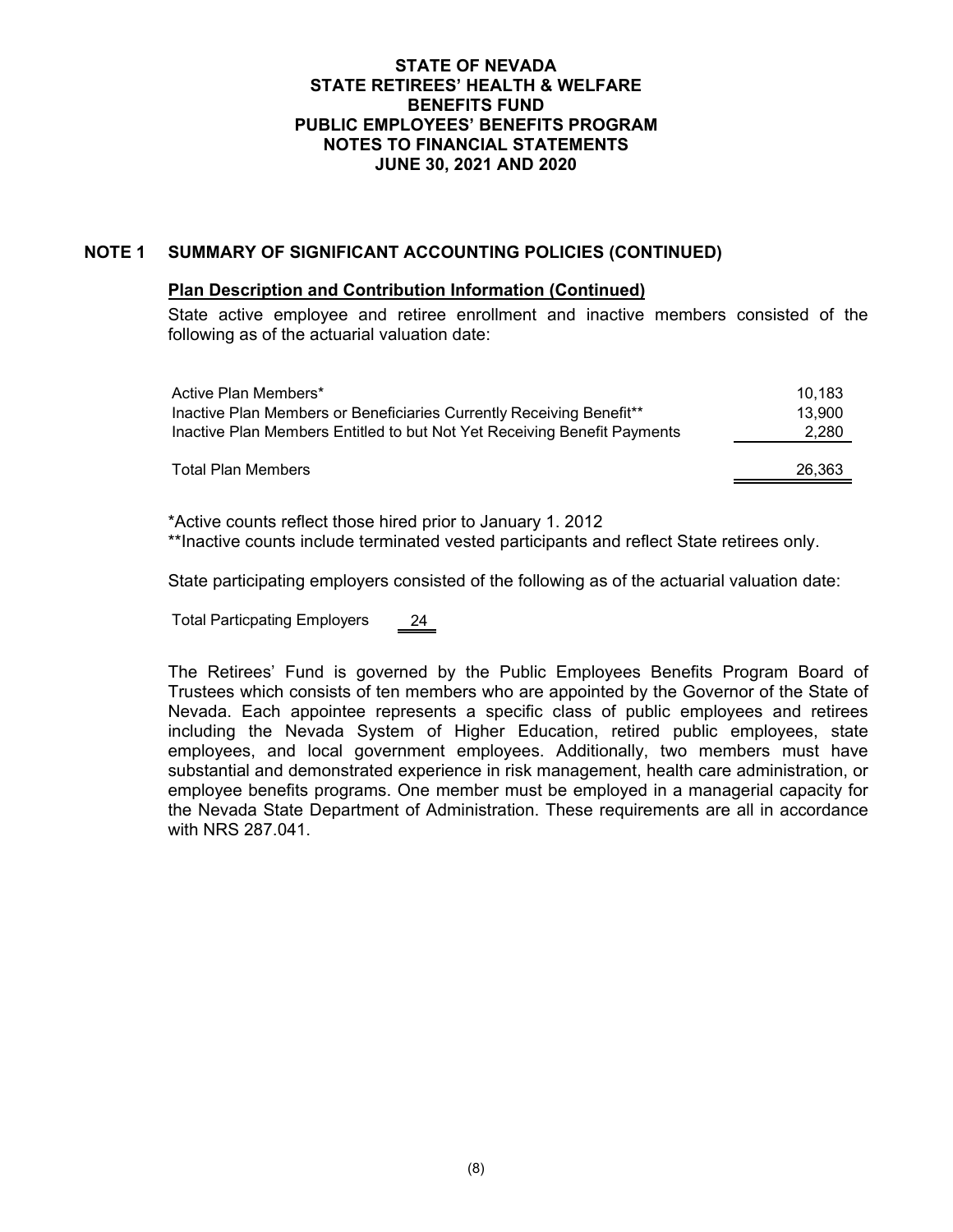# **NOTE 1 SUMMARY OF SIGNIFICANT ACCOUNTING POLICIES (CONTINUED)**

### **Plan Description and Contribution Information (Continued)**

State active employee and retiree enrollment and inactive members consisted of the following as of the actuarial valuation date:

| Active Plan Members*                                                     | 10.183 |
|--------------------------------------------------------------------------|--------|
| Inactive Plan Members or Beneficiaries Currently Receiving Benefit**     | 13,900 |
| Inactive Plan Members Entitled to but Not Yet Receiving Benefit Payments | 2,280  |
| Total Plan Members                                                       | 26,363 |

\*Active counts reflect those hired prior to January 1. 2012 \*\*Inactive counts include terminated vested participants and reflect State retirees only.

State participating employers consisted of the following as of the actuarial valuation date:

Total Particpating Employers 24

The Retirees' Fund is governed by the Public Employees Benefits Program Board of Trustees which consists of ten members who are appointed by the Governor of the State of Nevada. Each appointee represents a specific class of public employees and retirees including the Nevada System of Higher Education, retired public employees, state employees, and local government employees. Additionally, two members must have substantial and demonstrated experience in risk management, health care administration, or employee benefits programs. One member must be employed in a managerial capacity for the Nevada State Department of Administration. These requirements are all in accordance with NRS 287.041.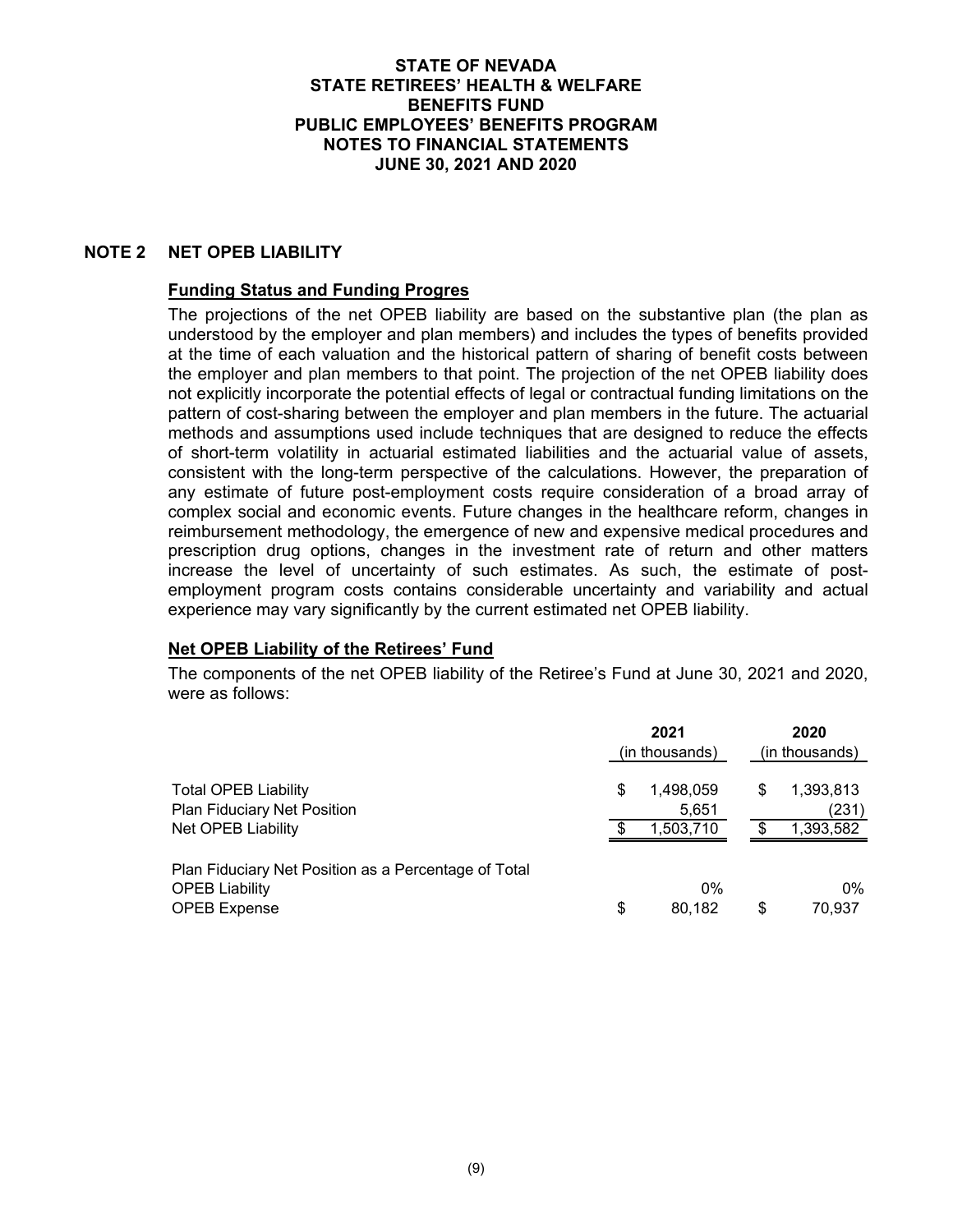### **NOTE 2 NET OPEB LIABILITY**

### **Funding Status and Funding Progres**

The projections of the net OPEB liability are based on the substantive plan (the plan as understood by the employer and plan members) and includes the types of benefits provided at the time of each valuation and the historical pattern of sharing of benefit costs between the employer and plan members to that point. The projection of the net OPEB liability does not explicitly incorporate the potential effects of legal or contractual funding limitations on the pattern of cost-sharing between the employer and plan members in the future. The actuarial methods and assumptions used include techniques that are designed to reduce the effects of short-term volatility in actuarial estimated liabilities and the actuarial value of assets, consistent with the long-term perspective of the calculations. However, the preparation of any estimate of future post-employment costs require consideration of a broad array of complex social and economic events. Future changes in the healthcare reform, changes in reimbursement methodology, the emergence of new and expensive medical procedures and prescription drug options, changes in the investment rate of return and other matters increase the level of uncertainty of such estimates. As such, the estimate of postemployment program costs contains considerable uncertainty and variability and actual experience may vary significantly by the current estimated net OPEB liability.

### **Net OPEB Liability of the Retirees' Fund**

The components of the net OPEB liability of the Retiree's Fund at June 30, 2021 and 2020, were as follows:

|                                                                                                      | 2021<br>(in thousands)                |     | 2020<br>(in thousands)          |
|------------------------------------------------------------------------------------------------------|---------------------------------------|-----|---------------------------------|
| <b>Total OPEB Liability</b><br>Plan Fiduciary Net Position<br><b>Net OPEB Liability</b>              | \$<br>1,498,059<br>5,651<br>1,503,710 | S   | 1,393,813<br>(231)<br>1,393,582 |
| Plan Fiduciary Net Position as a Percentage of Total<br><b>OPEB Liability</b><br><b>OPEB Expense</b> | \$<br>$0\%$<br>80,182                 | \$. | $0\%$<br>70.937                 |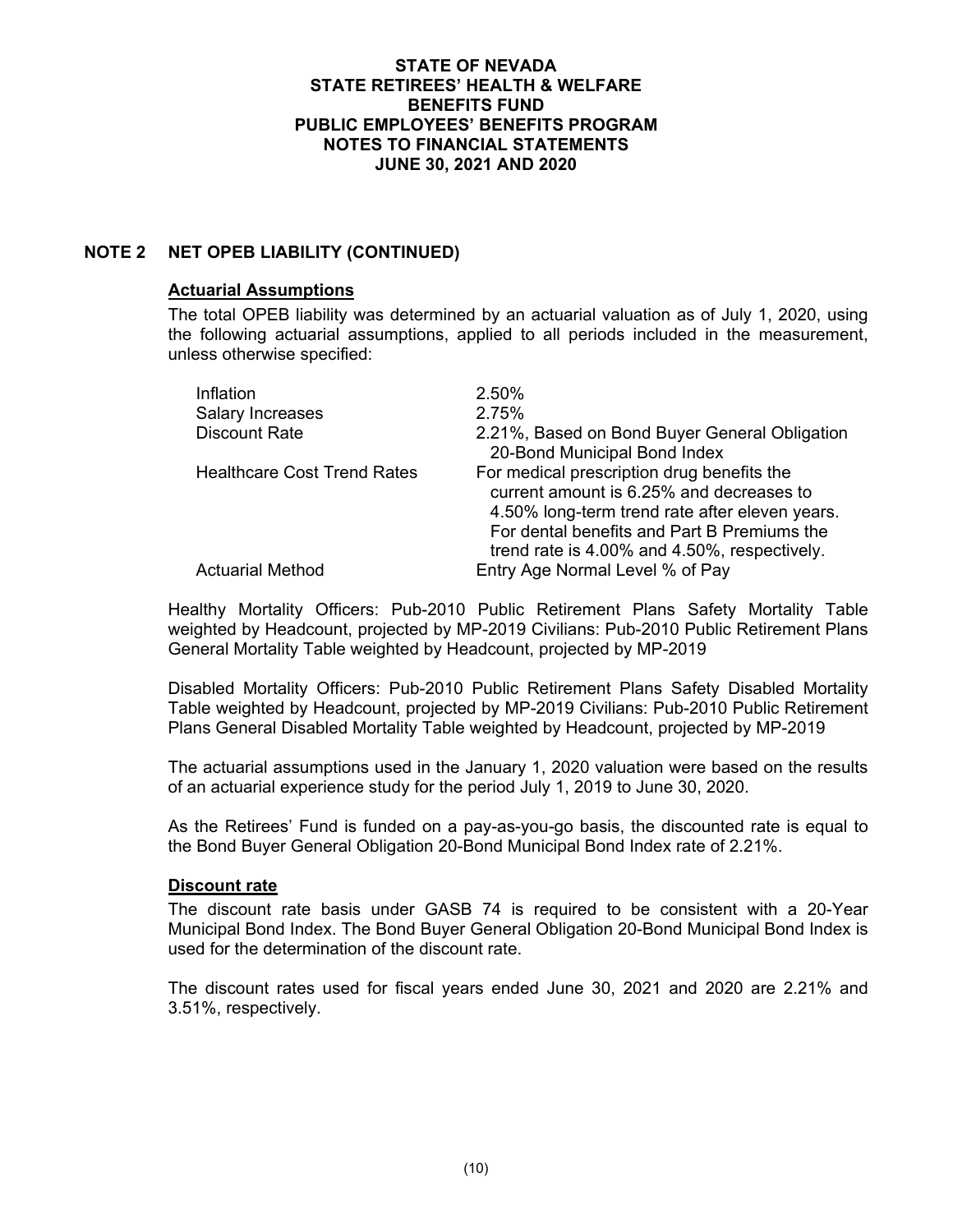# **NOTE 2 NET OPEB LIABILITY (CONTINUED)**

### **Actuarial Assumptions**

The total OPEB liability was determined by an actuarial valuation as of July 1, 2020, using the following actuarial assumptions, applied to all periods included in the measurement, unless otherwise specified:

| Inflation                          | 2.50%                                                                                                                                                                                                                                   |
|------------------------------------|-----------------------------------------------------------------------------------------------------------------------------------------------------------------------------------------------------------------------------------------|
| Salary Increases                   | 2.75%                                                                                                                                                                                                                                   |
| <b>Discount Rate</b>               | 2.21%, Based on Bond Buyer General Obligation                                                                                                                                                                                           |
|                                    | 20-Bond Municipal Bond Index                                                                                                                                                                                                            |
| <b>Healthcare Cost Trend Rates</b> | For medical prescription drug benefits the<br>current amount is 6.25% and decreases to<br>4.50% long-term trend rate after eleven years.<br>For dental benefits and Part B Premiums the<br>trend rate is 4.00% and 4.50%, respectively. |
| <b>Actuarial Method</b>            | Entry Age Normal Level % of Pay                                                                                                                                                                                                         |

Healthy Mortality Officers: Pub-2010 Public Retirement Plans Safety Mortality Table weighted by Headcount, projected by MP-2019 Civilians: Pub-2010 Public Retirement Plans General Mortality Table weighted by Headcount, projected by MP-2019

Disabled Mortality Officers: Pub-2010 Public Retirement Plans Safety Disabled Mortality Table weighted by Headcount, projected by MP-2019 Civilians: Pub-2010 Public Retirement Plans General Disabled Mortality Table weighted by Headcount, projected by MP-2019

The actuarial assumptions used in the January 1, 2020 valuation were based on the results of an actuarial experience study for the period July 1, 2019 to June 30, 2020.

As the Retirees' Fund is funded on a pay-as-you-go basis, the discounted rate is equal to the Bond Buyer General Obligation 20-Bond Municipal Bond Index rate of 2.21%.

### **Discount rate**

The discount rate basis under GASB 74 is required to be consistent with a 20-Year Municipal Bond Index. The Bond Buyer General Obligation 20-Bond Municipal Bond Index is used for the determination of the discount rate.

The discount rates used for fiscal years ended June 30, 2021 and 2020 are 2.21% and 3.51%, respectively.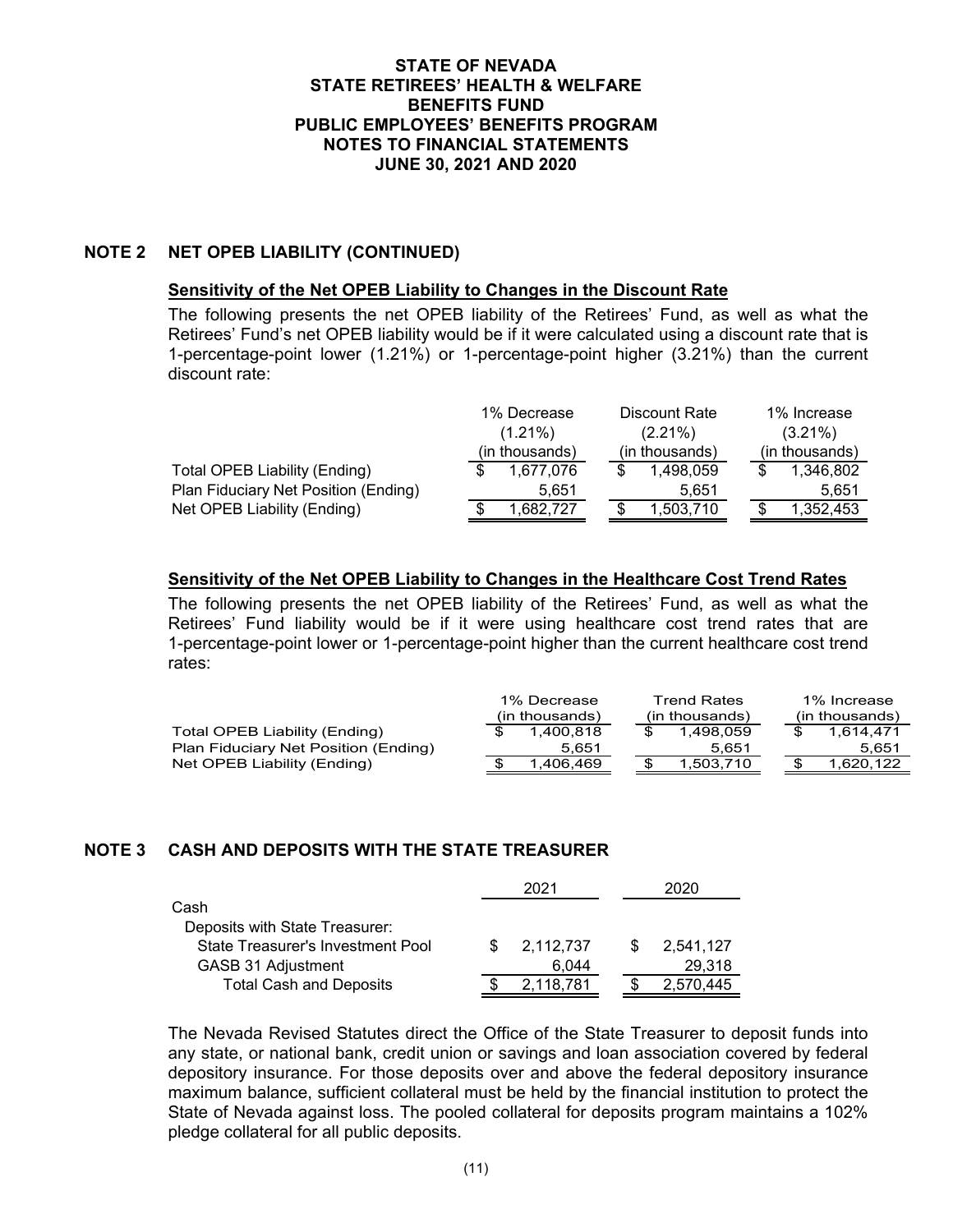## **NOTE 2 NET OPEB LIABILITY (CONTINUED)**

### **Sensitivity of the Net OPEB Liability to Changes in the Discount Rate**

The following presents the net OPEB liability of the Retirees' Fund, as well as what the Retirees' Fund's net OPEB liability would be if it were calculated using a discount rate that is 1-percentage-point lower (1.21%) or 1-percentage-point higher (3.21%) than the current discount rate:

|                                      | 1% Decrease    | Discount Rate   | 1% Increase    |
|--------------------------------------|----------------|-----------------|----------------|
|                                      | $(1.21\%)$     | $(2.21\%)$      | $(3.21\%)$     |
|                                      | (in thousands) | (in thousands)  | (in thousands) |
| Total OPEB Liability (Ending)        | 1.677.076      | 1.498.059       | 1,346,802      |
| Plan Fiduciary Net Position (Ending) | 5.651          | 5.651           | 5.651          |
| Net OPEB Liability (Ending)          | 1,682,727      | \$<br>1,503,710 | 1.352.453      |

### **Sensitivity of the Net OPEB Liability to Changes in the Healthcare Cost Trend Rates**

The following presents the net OPEB liability of the Retirees' Fund, as well as what the Retirees' Fund liability would be if it were using healthcare cost trend rates that are 1-percentage-point lower or 1-percentage-point higher than the current healthcare cost trend rates:

|                                      | 1% Decrease    | <b>Trend Rates</b> |  | 1% Increase    |
|--------------------------------------|----------------|--------------------|--|----------------|
|                                      | (in thousands) | (in thousands)     |  | (in thousands) |
| Total OPEB Liability (Ending)        | 1.400.818      | 1.498.059          |  | 1.614.471      |
| Plan Fiduciary Net Position (Ending) | 5.651          | 5.651              |  | 5.651          |
| Net OPEB Liability (Ending)          | 1.406.469      | 1.503.710          |  | 1.620.122      |

## **NOTE 3 CASH AND DEPOSITS WITH THE STATE TREASURER**

|                                   |     | 2021      | 2020      |
|-----------------------------------|-----|-----------|-----------|
| Cash                              |     |           |           |
| Deposits with State Treasurer:    |     |           |           |
| State Treasurer's Investment Pool | SS. | 2,112,737 | 2.541.127 |
| GASB 31 Adjustment                |     | 6.044     | 29,318    |
| <b>Total Cash and Deposits</b>    |     | 2,118,781 | 2,570,445 |

The Nevada Revised Statutes direct the Office of the State Treasurer to deposit funds into any state, or national bank, credit union or savings and loan association covered by federal depository insurance. For those deposits over and above the federal depository insurance maximum balance, sufficient collateral must be held by the financial institution to protect the State of Nevada against loss. The pooled collateral for deposits program maintains a 102% pledge collateral for all public deposits.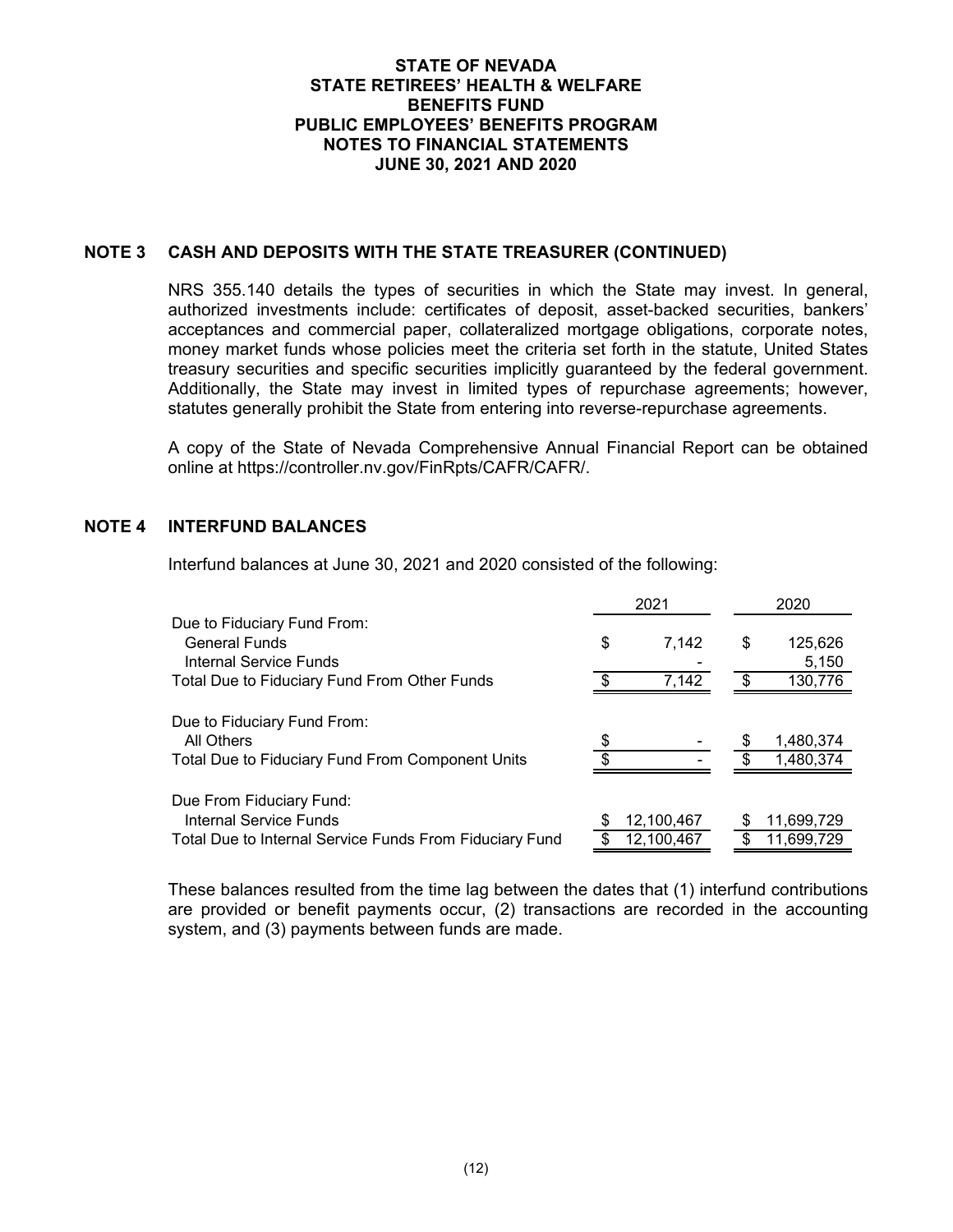## **NOTE 3 CASH AND DEPOSITS WITH THE STATE TREASURER (CONTINUED)**

NRS 355.140 details the types of securities in which the State may invest. In general, authorized investments include: certificates of deposit, asset-backed securities, bankers' acceptances and commercial paper, collateralized mortgage obligations, corporate notes, money market funds whose policies meet the criteria set forth in the statute, United States treasury securities and specific securities implicitly guaranteed by the federal government. Additionally, the State may invest in limited types of repurchase agreements; however, statutes generally prohibit the State from entering into reverse-repurchase agreements.

A copy of the State of Nevada Comprehensive Annual Financial Report can be obtained online at https://controller.nv.gov/FinRpts/CAFR/CAFR/.

## **NOTE 4 INTERFUND BALANCES**

Interfund balances at June 30, 2021 and 2020 consisted of the following:

|                                                         | 2021 |            | 2020          |  |
|---------------------------------------------------------|------|------------|---------------|--|
| Due to Fiduciary Fund From:                             |      |            |               |  |
| <b>General Funds</b>                                    | \$   | 7,142      | \$<br>125,626 |  |
| <b>Internal Service Funds</b>                           |      |            | 5,150         |  |
| Total Due to Fiduciary Fund From Other Funds            |      | 7,142      | 130,776       |  |
|                                                         |      |            |               |  |
| Due to Fiduciary Fund From:                             |      |            |               |  |
| All Others                                              |      |            | 1,480,374     |  |
| Total Due to Fiduciary Fund From Component Units        |      |            | 1,480,374     |  |
|                                                         |      |            |               |  |
| Due From Fiduciary Fund:                                |      |            |               |  |
| Internal Service Funds                                  |      | 12,100,467 | 11,699,729    |  |
| Total Due to Internal Service Funds From Fiduciary Fund |      | 12,100,467 | 11,699,729    |  |

These balances resulted from the time lag between the dates that (1) interfund contributions are provided or benefit payments occur, (2) transactions are recorded in the accounting system, and (3) payments between funds are made.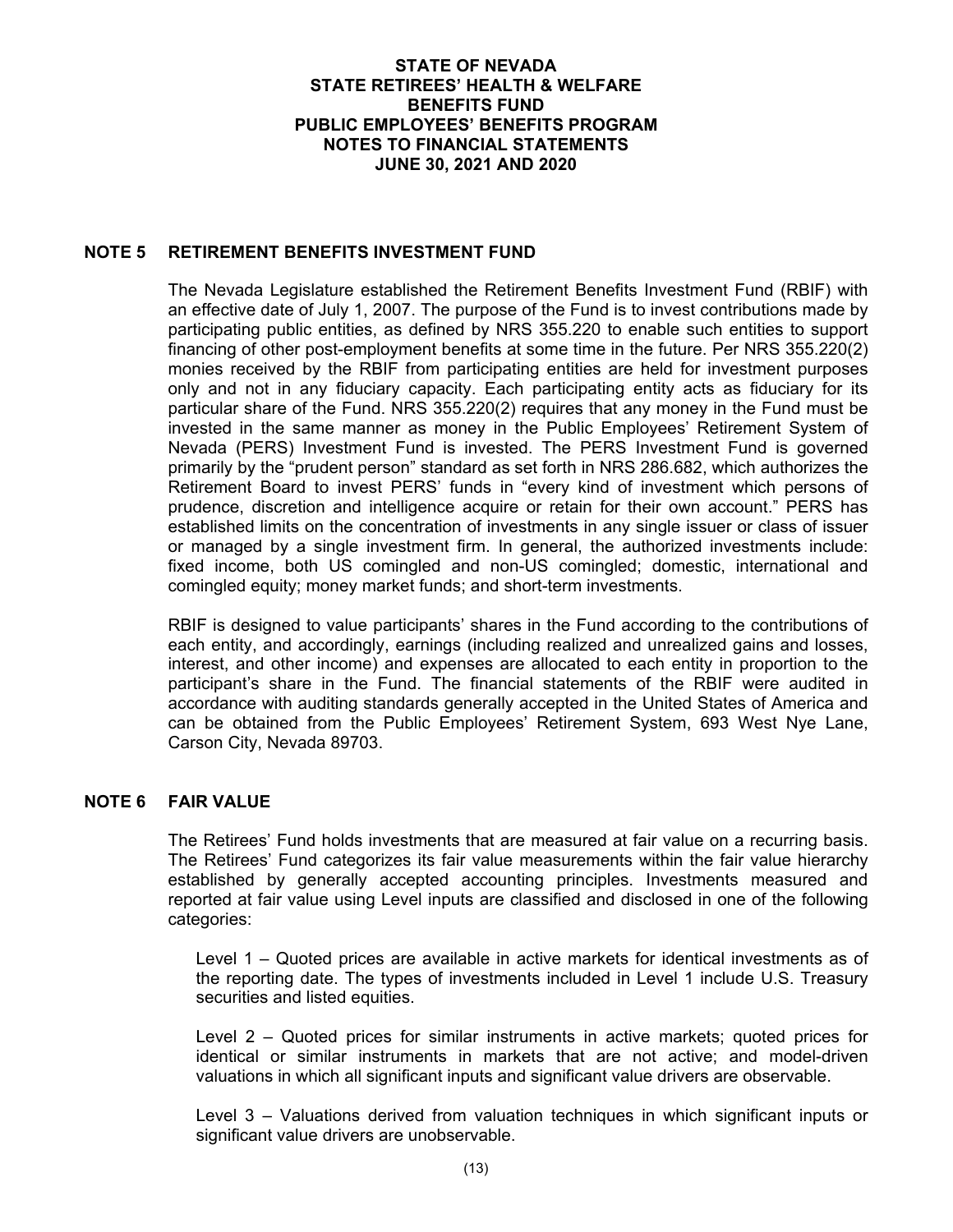### **NOTE 5 RETIREMENT BENEFITS INVESTMENT FUND**

The Nevada Legislature established the Retirement Benefits Investment Fund (RBIF) with an effective date of July 1, 2007. The purpose of the Fund is to invest contributions made by participating public entities, as defined by NRS 355.220 to enable such entities to support financing of other post-employment benefits at some time in the future. Per NRS 355.220(2) monies received by the RBIF from participating entities are held for investment purposes only and not in any fiduciary capacity. Each participating entity acts as fiduciary for its particular share of the Fund. NRS 355.220(2) requires that any money in the Fund must be invested in the same manner as money in the Public Employees' Retirement System of Nevada (PERS) Investment Fund is invested. The PERS Investment Fund is governed primarily by the "prudent person" standard as set forth in NRS 286.682, which authorizes the Retirement Board to invest PERS' funds in "every kind of investment which persons of prudence, discretion and intelligence acquire or retain for their own account." PERS has established limits on the concentration of investments in any single issuer or class of issuer or managed by a single investment firm. In general, the authorized investments include: fixed income, both US comingled and non-US comingled; domestic, international and comingled equity; money market funds; and short-term investments.

RBIF is designed to value participants' shares in the Fund according to the contributions of each entity, and accordingly, earnings (including realized and unrealized gains and losses, interest, and other income) and expenses are allocated to each entity in proportion to the participant's share in the Fund. The financial statements of the RBIF were audited in accordance with auditing standards generally accepted in the United States of America and can be obtained from the Public Employees' Retirement System, 693 West Nye Lane, Carson City, Nevada 89703.

## **NOTE 6 FAIR VALUE**

The Retirees' Fund holds investments that are measured at fair value on a recurring basis. The Retirees' Fund categorizes its fair value measurements within the fair value hierarchy established by generally accepted accounting principles. Investments measured and reported at fair value using Level inputs are classified and disclosed in one of the following categories:

Level 1 – Quoted prices are available in active markets for identical investments as of the reporting date. The types of investments included in Level 1 include U.S. Treasury securities and listed equities.

Level 2 – Quoted prices for similar instruments in active markets; quoted prices for identical or similar instruments in markets that are not active; and model-driven valuations in which all significant inputs and significant value drivers are observable.

Level 3 – Valuations derived from valuation techniques in which significant inputs or significant value drivers are unobservable.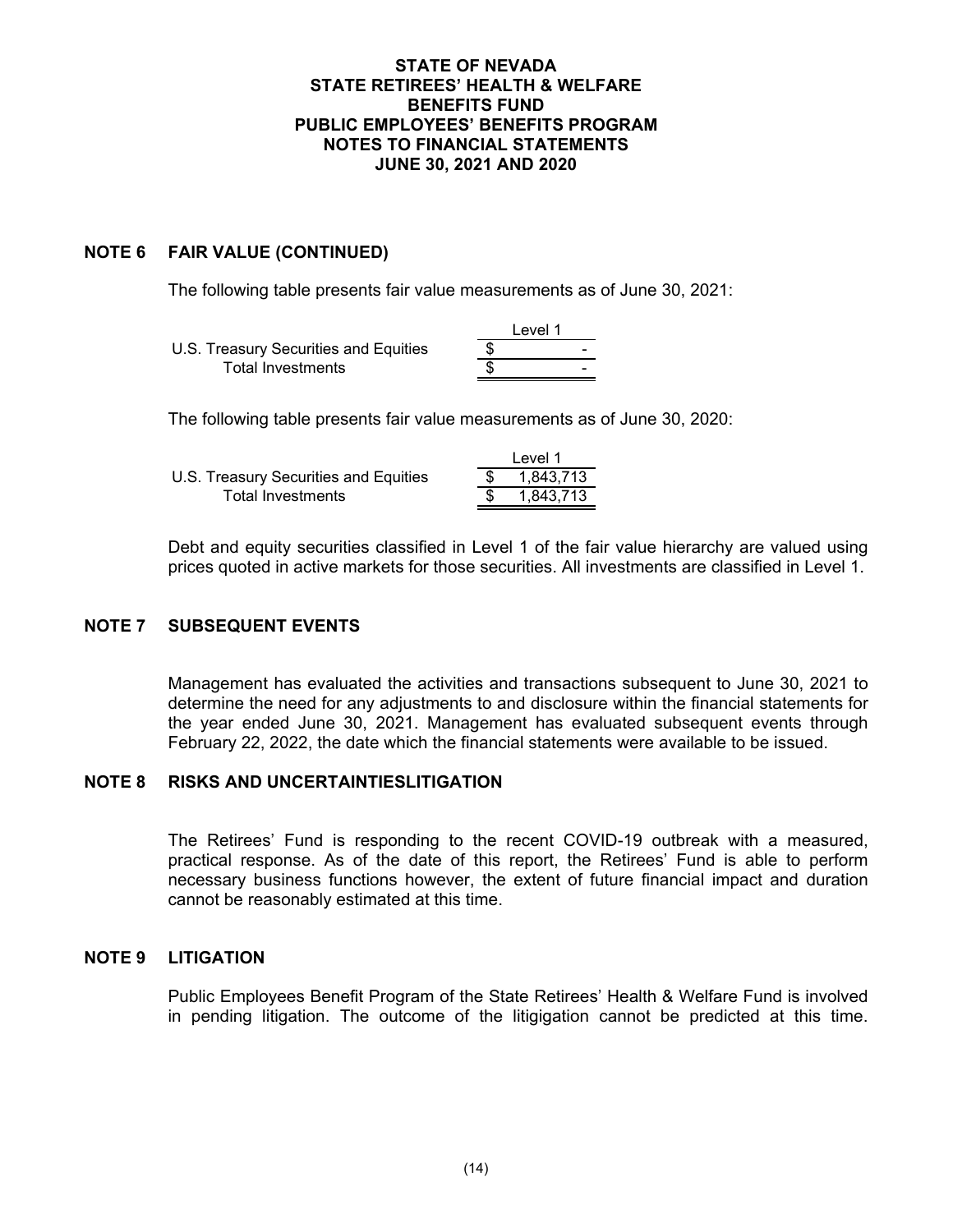### **NOTE 6 FAIR VALUE (CONTINUED)**

The following table presents fair value measurements as of June 30, 2021:

|                                       | Level 1 |
|---------------------------------------|---------|
| U.S. Treasury Securities and Equities |         |
| Total Investments                     | -       |

The following table presents fair value measurements as of June 30, 2020:

|                                       | Level 1   |
|---------------------------------------|-----------|
| U.S. Treasury Securities and Equities | 1.843.713 |
| Total Investments                     | 1.843.713 |

Debt and equity securities classified in Level 1 of the fair value hierarchy are valued using prices quoted in active markets for those securities. All investments are classified in Level 1.

### **NOTE 7 SUBSEQUENT EVENTS**

Management has evaluated the activities and transactions subsequent to June 30, 2021 to determine the need for any adjustments to and disclosure within the financial statements for the year ended June 30, 2021. Management has evaluated subsequent events through February 22, 2022, the date which the financial statements were available to be issued.

### **NOTE 8 RISKS AND UNCERTAINTIESLITIGATION**

The Retirees' Fund is responding to the recent COVID-19 outbreak with a measured, practical response. As of the date of this report, the Retirees' Fund is able to perform necessary business functions however, the extent of future financial impact and duration cannot be reasonably estimated at this time.

### **NOTE 9 LITIGATION**

Public Employees Benefit Program of the State Retirees' Health & Welfare Fund is involved in pending litigation. The outcome of the litigigation cannot be predicted at this time.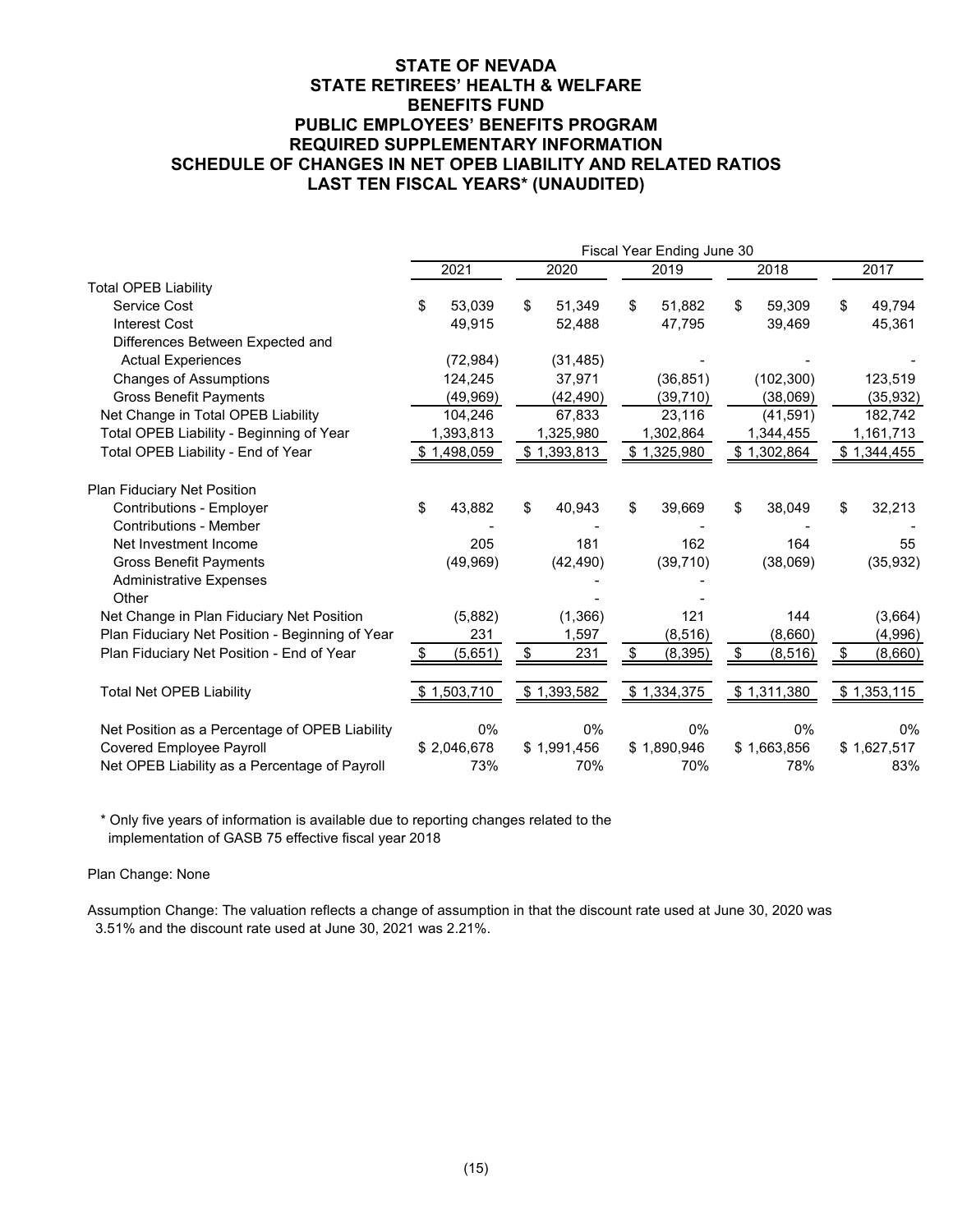### **STATE OF NEVADA STATE RETIREES' HEALTH & WELFARE BENEFITS FUND PUBLIC EMPLOYEES' BENEFITS PROGRAM REQUIRED SUPPLEMENTARY INFORMATION SCHEDULE OF CHANGES IN NET OPEB LIABILITY AND RELATED RATIOS LAST TEN FISCAL YEARS\* (UNAUDITED)**

|                                                 | Fiscal Year Ending June 30 |             |    |             |    |             |    |             |               |
|-------------------------------------------------|----------------------------|-------------|----|-------------|----|-------------|----|-------------|---------------|
|                                                 |                            | 2021        |    | 2020        |    | 2019        |    | 2018        | 2017          |
| <b>Total OPEB Liability</b>                     |                            |             |    |             |    |             |    |             |               |
| Service Cost                                    | \$                         | 53,039      | \$ | 51,349      | \$ | 51,882      | \$ | 59,309      | \$<br>49,794  |
| <b>Interest Cost</b>                            |                            | 49,915      |    | 52,488      |    | 47,795      |    | 39,469      | 45,361        |
| Differences Between Expected and                |                            |             |    |             |    |             |    |             |               |
| <b>Actual Experiences</b>                       |                            | (72, 984)   |    | (31, 485)   |    |             |    |             |               |
| <b>Changes of Assumptions</b>                   |                            | 124,245     |    | 37,971      |    | (36, 851)   |    | (102, 300)  | 123,519       |
| <b>Gross Benefit Payments</b>                   |                            | (49,969)    |    | (42, 490)   |    | (39, 710)   |    | (38,069)    | (35, 932)     |
| Net Change in Total OPEB Liability              |                            | 104,246     |    | 67,833      |    | 23,116      |    | (41, 591)   | 182,742       |
| Total OPEB Liability - Beginning of Year        |                            | 1,393,813   |    | 1,325,980   |    | 1,302,864   |    | 1,344,455   | 1,161,713     |
| Total OPEB Liability - End of Year              |                            | \$1,498,059 |    | \$1,393,813 |    | \$1,325,980 |    | \$1,302,864 | \$1,344,455   |
| Plan Fiduciary Net Position                     |                            |             |    |             |    |             |    |             |               |
| <b>Contributions - Employer</b>                 | \$                         | 43,882      | \$ | 40,943      | \$ | 39,669      | \$ | 38,049      | \$<br>32,213  |
| <b>Contributions - Member</b>                   |                            |             |    |             |    |             |    |             |               |
| Net Investment Income                           |                            | 205         |    | 181         |    | 162         |    | 164         | 55            |
| <b>Gross Benefit Payments</b>                   |                            | (49, 969)   |    | (42, 490)   |    | (39, 710)   |    | (38,069)    | (35, 932)     |
| <b>Administrative Expenses</b>                  |                            |             |    |             |    |             |    |             |               |
| Other                                           |                            |             |    |             |    |             |    |             |               |
| Net Change in Plan Fiduciary Net Position       |                            | (5,882)     |    | (1, 366)    |    | 121         |    | 144         | (3,664)       |
| Plan Fiduciary Net Position - Beginning of Year |                            | 231         |    | 1,597       |    | (8,516)     |    | (8,660)     | (4,996)       |
| Plan Fiduciary Net Position - End of Year       |                            | (5,651)     | \$ | 231         | \$ | (8, 395)    | \$ | (8, 516)    | \$<br>(8,660) |
| <b>Total Net OPEB Liability</b>                 |                            | \$1,503,710 |    | \$1,393,582 |    | \$1,334,375 |    | \$1,311,380 | \$1,353,115   |
| Net Position as a Percentage of OPEB Liability  |                            | 0%          |    | 0%          |    | 0%          |    | $0\%$       | $0\%$         |
| Covered Employee Payroll                        |                            | \$2,046,678 |    | \$1,991,456 |    | \$1,890,946 |    | \$1,663,856 | \$1,627,517   |
| Net OPEB Liability as a Percentage of Payroll   |                            | 73%         |    | 70%         |    | 70%         |    | 78%         | 83%           |

\* Only five years of information is available due to reporting changes related to the implementation of GASB 75 effective fiscal year 2018

Plan Change: None

Assumption Change: The valuation reflects a change of assumption in that the discount rate used at June 30, 2020 was 3.51% and the discount rate used at June 30, 2021 was 2.21%.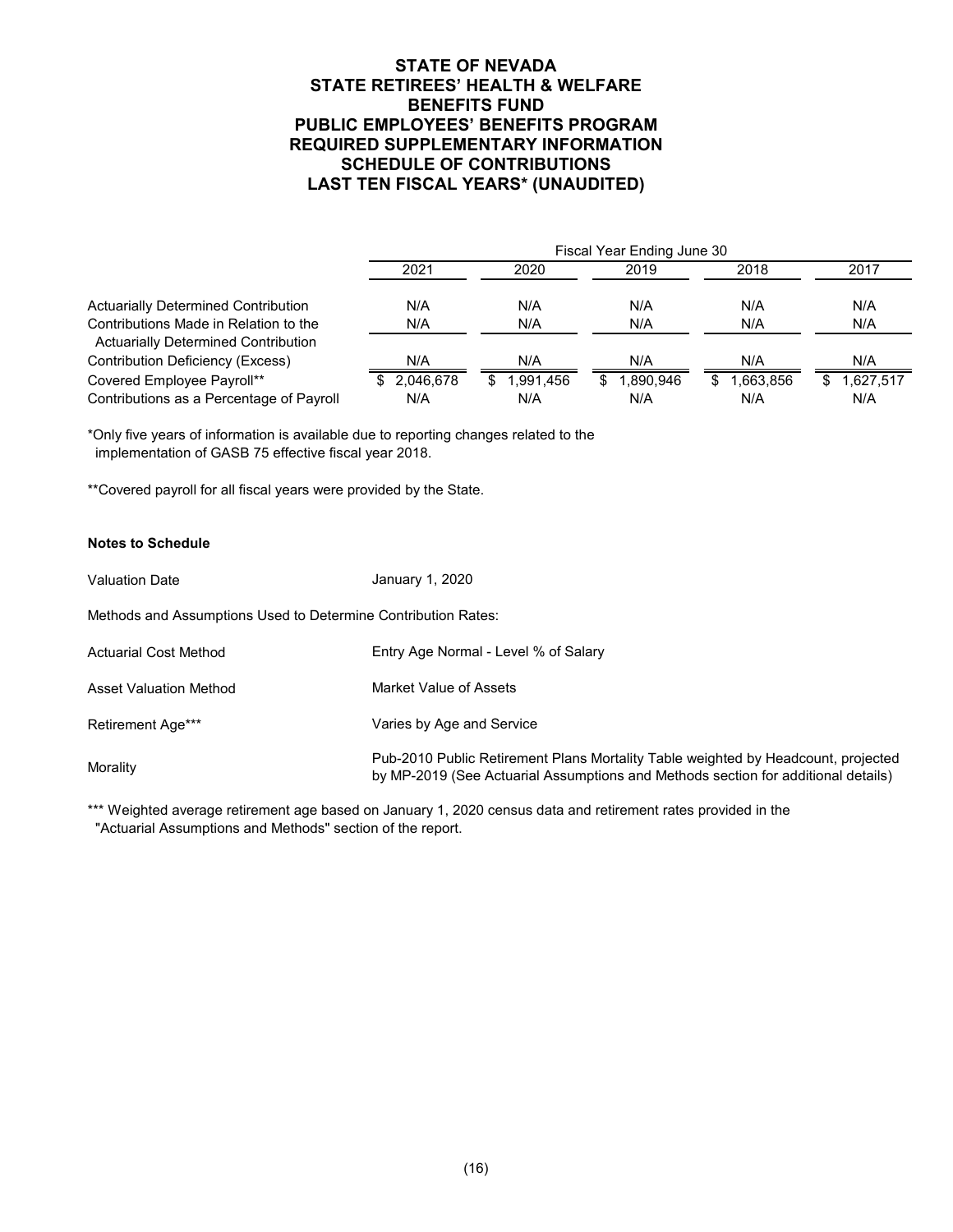### **STATE OF NEVADA STATE RETIREES' HEALTH & WELFARE BENEFITS FUND PUBLIC EMPLOYEES' BENEFITS PROGRAM REQUIRED SUPPLEMENTARY INFORMATION SCHEDULE OF CONTRIBUTIONS LAST TEN FISCAL YEARS\* (UNAUDITED)**

|                                          | Fiscal Year Ending June 30 |                  |                 |                 |                 |  |  |  |  |  |
|------------------------------------------|----------------------------|------------------|-----------------|-----------------|-----------------|--|--|--|--|--|
|                                          | 2021                       | 2020             | 2019            | 2018            | 2017            |  |  |  |  |  |
| Actuarially Determined Contribution      | N/A                        | N/A              | N/A             | N/A             | N/A             |  |  |  |  |  |
| Contributions Made in Relation to the    | N/A                        | N/A              | N/A             | N/A             | N/A             |  |  |  |  |  |
| Actuarially Determined Contribution      |                            |                  |                 |                 |                 |  |  |  |  |  |
| <b>Contribution Deficiency (Excess)</b>  | N/A                        | N/A              | N/A             | N/A             | N/A             |  |  |  |  |  |
| Covered Employee Payroll**               | 2.046.678                  | 1.991.456<br>\$. | 1.890.946<br>S. | 1,663,856<br>£. | 1,627,517<br>\$ |  |  |  |  |  |
| Contributions as a Percentage of Payroll | N/A                        | N/A              | N/A             | N/A             | N/A             |  |  |  |  |  |

\*Only five years of information is available due to reporting changes related to the implementation of GASB 75 effective fiscal year 2018.

\*\*Covered payroll for all fiscal years were provided by the State.

#### **Notes to Schedule**

Valuation Date Actuarial Cost Method Asset Valuation Method Retirement Age\*\*\* **Morality** Pub-2010 Public Retirement Plans Mortality Table weighted by Headcount, projected by MP-2019 (See Actuarial Assumptions and Methods section for additional details) Varies by Age and Service Market Value of Assets Entry Age Normal - Level % of Salary Methods and Assumptions Used to Determine Contribution Rates: January 1, 2020

\*\*\* Weighted average retirement age based on January 1, 2020 census data and retirement rates provided in the "Actuarial Assumptions and Methods" section of the report.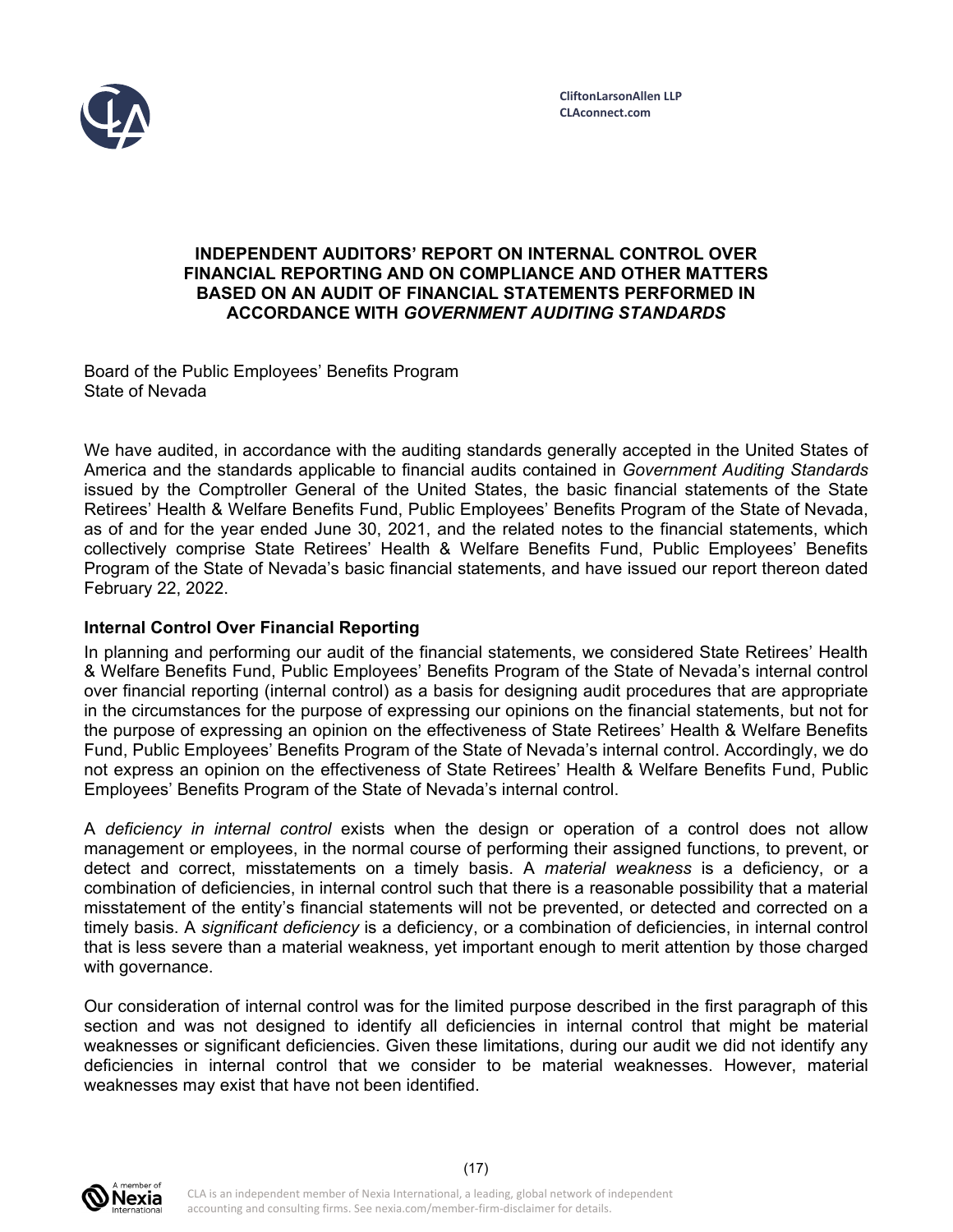

### **INDEPENDENT AUDITORS' REPORT ON INTERNAL CONTROL OVER FINANCIAL REPORTING AND ON COMPLIANCE AND OTHER MATTERS BASED ON AN AUDIT OF FINANCIAL STATEMENTS PERFORMED IN ACCORDANCE WITH** *GOVERNMENT AUDITING STANDARDS*

Board of the Public Employees' Benefits Program State of Nevada

We have audited, in accordance with the auditing standards generally accepted in the United States of America and the standards applicable to financial audits contained in *Government Auditing Standards*  issued by the Comptroller General of the United States, the basic financial statements of the State Retirees' Health & Welfare Benefits Fund, Public Employees' Benefits Program of the State of Nevada, as of and for the year ended June 30, 2021, and the related notes to the financial statements, which collectively comprise State Retirees' Health & Welfare Benefits Fund, Public Employees' Benefits Program of the State of Nevada's basic financial statements, and have issued our report thereon dated February 22, 2022.

## **Internal Control Over Financial Reporting**

In planning and performing our audit of the financial statements, we considered State Retirees' Health & Welfare Benefits Fund, Public Employees' Benefits Program of the State of Nevada's internal control over financial reporting (internal control) as a basis for designing audit procedures that are appropriate in the circumstances for the purpose of expressing our opinions on the financial statements, but not for the purpose of expressing an opinion on the effectiveness of State Retirees' Health & Welfare Benefits Fund, Public Employees' Benefits Program of the State of Nevada's internal control. Accordingly, we do not express an opinion on the effectiveness of State Retirees' Health & Welfare Benefits Fund, Public Employees' Benefits Program of the State of Nevada's internal control.

A *deficiency in internal control* exists when the design or operation of a control does not allow management or employees, in the normal course of performing their assigned functions, to prevent, or detect and correct, misstatements on a timely basis. A *material weakness* is a deficiency, or a combination of deficiencies, in internal control such that there is a reasonable possibility that a material misstatement of the entity's financial statements will not be prevented, or detected and corrected on a timely basis. A *significant deficiency* is a deficiency, or a combination of deficiencies, in internal control that is less severe than a material weakness, yet important enough to merit attention by those charged with governance.

Our consideration of internal control was for the limited purpose described in the first paragraph of this section and was not designed to identify all deficiencies in internal control that might be material weaknesses or significant deficiencies. Given these limitations, during our audit we did not identify any deficiencies in internal control that we consider to be material weaknesses. However, material weaknesses may exist that have not been identified.